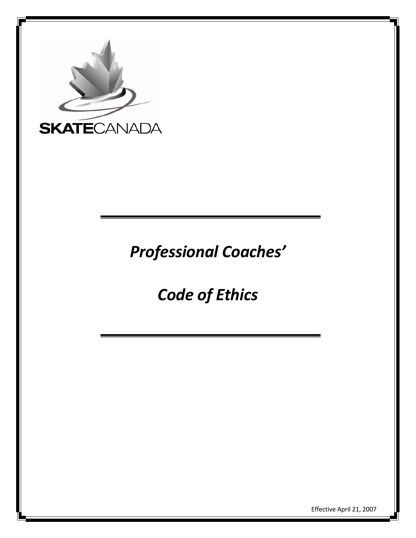

*Professional Coaches'* 

*Code of Ethics* 

Effective April 21, 2007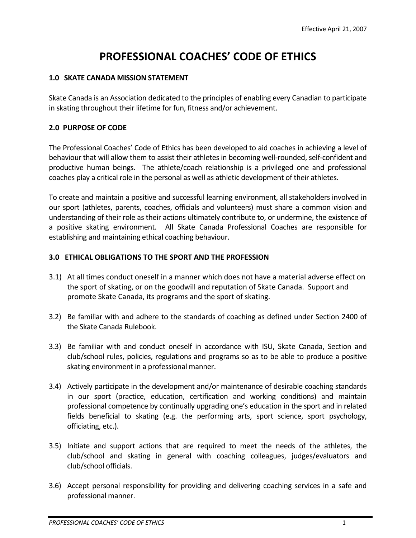# **PROFESSIONAL COACHES' CODE OF ETHICS**

#### **1.0 SKATE CANADA MISSION STATEMENT**

Skate Canada is an Association dedicated to the principles of enabling every Canadian to participate in skating throughout their lifetime for fun, fitness and/or achievement.

#### **2.0 PURPOSE OF CODE**

The Professional Coaches' Code of Ethics has been developed to aid coaches in achieving a level of behaviour that will allow them to assist their athletes in becoming well-rounded, self-confident and productive human beings. The athlete/coach relationship is a privileged one and professional coaches play a critical role in the personal as well as athletic development of their athletes.

To create and maintain a positive and successful learning environment, all stakeholders involved in our sport (athletes, parents, coaches, officials and volunteers) must share a common vision and understanding of their role as their actions ultimately contribute to, or undermine, the existence of a positive skating environment. All Skate Canada Professional Coaches are responsible for establishing and maintaining ethical coaching behaviour.

#### **3.0 ETHICAL OBLIGATIONS TO THE SPORT AND THE PROFESSION**

- 3.1) At all times conduct oneself in a manner which does not have a material adverse effect on the sport of skating, or on the goodwill and reputation of Skate Canada. Support and promote Skate Canada, its programs and the sport of skating.
- 3.2) Be familiar with and adhere to the standards of coaching as defined under Section 2400 of the Skate Canada Rulebook.
- 3.3) Be familiar with and conduct oneself in accordance with ISU, Skate Canada, Section and club/school rules, policies, regulations and programs so as to be able to produce a positive skating environment in a professional manner.
- 3.4) Actively participate in the development and/or maintenance of desirable coaching standards in our sport (practice, education, certification and working conditions) and maintain professional competence by continually upgrading one's education in the sport and in related fields beneficial to skating (e.g. the performing arts, sport science, sport psychology, officiating, etc.).
- 3.5) Initiate and support actions that are required to meet the needs of the athletes, the club/school and skating in general with coaching colleagues, judges/evaluators and club/school officials.
- 3.6) Accept personal responsibility for providing and delivering coaching services in a safe and professional manner.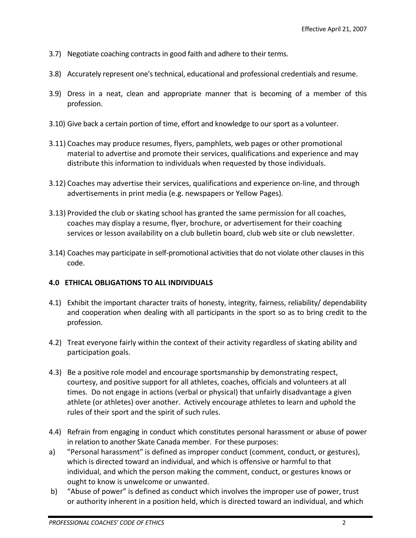- 3.7) Negotiate coaching contracts in good faith and adhere to their terms.
- 3.8) Accurately represent one's technical, educational and professional credentials and resume.
- 3.9) Dress in a neat, clean and appropriate manner that is becoming of a member of this profession.
- 3.10) Give back a certain portion of time, effort and knowledge to our sport as a volunteer.
- 3.11) Coaches may produce resumes, flyers, pamphlets, web pages or other promotional material to advertise and promote their services, qualifications and experience and may distribute this information to individuals when requested by those individuals.
- 3.12) Coaches may advertise their services, qualifications and experience on‐line, and through advertisements in print media (e.g. newspapers or Yellow Pages).
- 3.13) Provided the club or skating school has granted the same permission for all coaches, coaches may display a resume, flyer, brochure, or advertisement for their coaching services or lesson availability on a club bulletin board, club web site or club newsletter.
- 3.14) Coaches may participate in self‐promotional activities that do not violate other clauses in this code.

## **4.0 ETHICAL OBLIGATIONS TO ALL INDIVIDUALS**

- 4.1) Exhibit the important character traits of honesty, integrity, fairness, reliability/ dependability and cooperation when dealing with all participants in the sport so as to bring credit to the profession.
- 4.2) Treat everyone fairly within the context of their activity regardless of skating ability and participation goals.
- 4.3) Be a positive role model and encourage sportsmanship by demonstrating respect, courtesy, and positive support for all athletes, coaches, officials and volunteers at all times. Do not engage in actions (verbal or physical) that unfairly disadvantage a given athlete (or athletes) over another. Actively encourage athletes to learn and uphold the rules of their sport and the spirit of such rules.
- 4.4) Refrain from engaging in conduct which constitutes personal harassment or abuse of power in relation to another Skate Canada member. For these purposes:
- a) "Personal harassment" is defined as improper conduct (comment, conduct, or gestures), which is directed toward an individual, and which is offensive or harmful to that individual, and which the person making the comment, conduct, or gestures knows or ought to know is unwelcome or unwanted.
- b) "Abuse of power" is defined as conduct which involves the improper use of power, trust or authority inherent in a position held, which is directed toward an individual, and which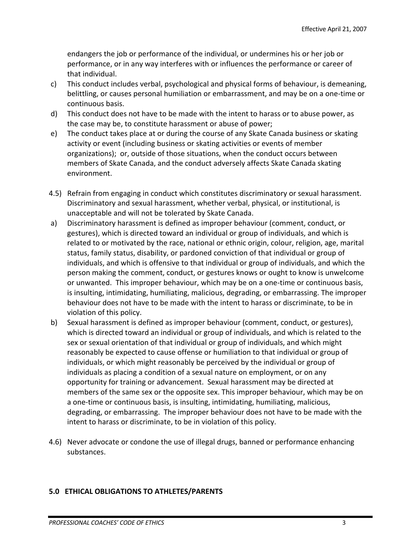endangers the job or performance of the individual, or undermines his or her job or performance, or in any way interferes with or influences the performance or career of that individual.

- c) This conduct includes verbal, psychological and physical forms of behaviour, is demeaning, belittling, or causes personal humiliation or embarrassment, and may be on a one‐time or continuous basis.
- d) This conduct does not have to be made with the intent to harass or to abuse power, as the case may be, to constitute harassment or abuse of power;
- e) The conduct takes place at or during the course of any Skate Canada business or skating activity or event (including business or skating activities or events of member organizations); or, outside of those situations, when the conduct occurs between members of Skate Canada, and the conduct adversely affects Skate Canada skating environment.
- 4.5) Refrain from engaging in conduct which constitutes discriminatory or sexual harassment. Discriminatory and sexual harassment, whether verbal, physical, or institutional, is unacceptable and will not be tolerated by Skate Canada.
- a) Discriminatory harassment is defined as improper behaviour (comment, conduct, or gestures), which is directed toward an individual or group of individuals, and which is related to or motivated by the race, national or ethnic origin, colour, religion, age, marital status, family status, disability, or pardoned conviction of that individual or group of individuals, and which is offensive to that individual or group of individuals, and which the person making the comment, conduct, or gestures knows or ought to know is unwelcome or unwanted. This improper behaviour, which may be on a one‐time or continuous basis, is insulting, intimidating, humiliating, malicious, degrading, or embarrassing. The improper behaviour does not have to be made with the intent to harass or discriminate, to be in violation of this policy.
- b) Sexual harassment is defined as improper behaviour (comment, conduct, or gestures), which is directed toward an individual or group of individuals, and which is related to the sex or sexual orientation of that individual or group of individuals, and which might reasonably be expected to cause offense or humiliation to that individual or group of individuals, or which might reasonably be perceived by the individual or group of individuals as placing a condition of a sexual nature on employment, or on any opportunity for training or advancement. Sexual harassment may be directed at members of the same sex or the opposite sex. This improper behaviour, which may be on a one‐time or continuous basis, is insulting, intimidating, humiliating, malicious, degrading, or embarrassing. The improper behaviour does not have to be made with the intent to harass or discriminate, to be in violation of this policy.
- 4.6) Never advocate or condone the use of illegal drugs, banned or performance enhancing substances.

## **5.0 ETHICAL OBLIGATIONS TO ATHLETES/PARENTS**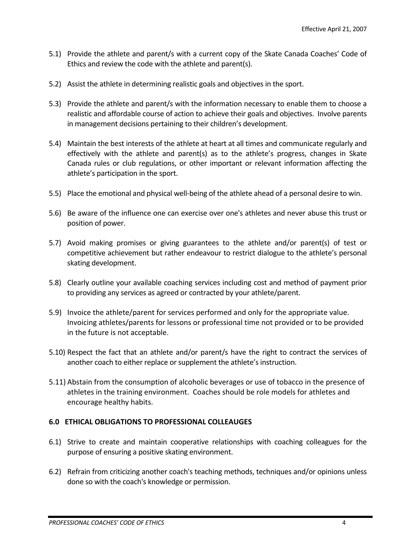- 5.1) Provide the athlete and parent/s with a current copy of the Skate Canada Coaches' Code of Ethics and review the code with the athlete and parent(s).
- 5.2) Assist the athlete in determining realistic goals and objectives in the sport.
- 5.3) Provide the athlete and parent/s with the information necessary to enable them to choose a realistic and affordable course of action to achieve their goals and objectives. Involve parents in management decisions pertaining to their children's development.
- 5.4) Maintain the best interests of the athlete at heart at all times and communicate regularly and effectively with the athlete and parent(s) as to the athlete's progress, changes in Skate Canada rules or club regulations, or other important or relevant information affecting the athlete's participation in the sport.
- 5.5) Place the emotional and physical well-being of the athlete ahead of a personal desire to win.
- 5.6) Be aware of the influence one can exercise over one's athletes and never abuse this trust or position of power.
- 5.7) Avoid making promises or giving guarantees to the athlete and/or parent(s) of test or competitive achievement but rather endeavour to restrict dialogue to the athlete's personal skating development.
- 5.8) Clearly outline your available coaching services including cost and method of payment prior to providing any services as agreed or contracted by your athlete/parent.
- 5.9) Invoice the athlete/parent for services performed and only for the appropriate value. Invoicing athletes/parents for lessons or professional time not provided or to be provided in the future is not acceptable.
- 5.10) Respect the fact that an athlete and/or parent/s have the right to contract the services of another coach to either replace or supplement the athlete's instruction.
- 5.11) Abstain from the consumption of alcoholic beverages or use of tobacco in the presence of athletes in the training environment. Coaches should be role models for athletes and encourage healthy habits.

## **6.0 ETHICAL OBLIGATIONS TO PROFESSIONAL COLLEAUGES**

- 6.1) Strive to create and maintain cooperative relationships with coaching colleagues for the purpose of ensuring a positive skating environment.
- 6.2) Refrain from criticizing another coach's teaching methods, techniques and/or opinions unless done so with the coach's knowledge or permission.